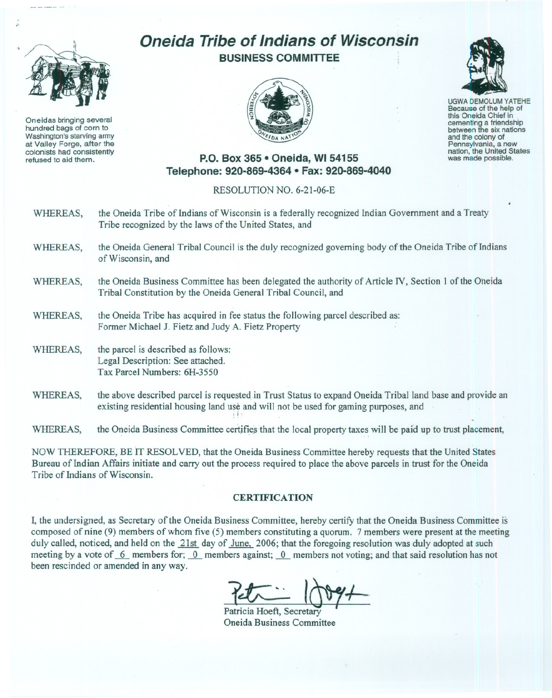

Oneidas bringing several hundred bags of corn to Washington's starving army at Valley Forge, after the colonists had consistently refused to aid them.

## **Oneida Tribe of Indians of Wisconsin BUSINESS COMMITTEE**





UGWA DEMOLUM YATEHE Because of the help of this Oneida Chief in , cementing <sup>a</sup> friendship between the six nations and the colony of<br>Pennsylvania, a new nation, the United States was made possible.

## **P.O. Box 365 • Oneida, WI 54155 Telephone: 920-869-4364 • Fax: 920-869-4040**

## RESOLUTION NO. 6-21-06-E

- WHEREAS, the Oneida Tribe of Indians of Wisconsin is a federally recognized Indian Government and a Treaty Tribe recognized by the laws of the United States, and
- WHEREAS, the Oneida General Tribal Council is the duly recognized governing body of the Oneida Tribe of Indians of Wisconsin, and
- WHEREAS, the Oneida Business Committee has been delegated the authority of Article IV, Section 1 of the Oneida Tribal Constitution by the Oneida General Tribal Council, and
- WHEREAS, the Oneida Tribe has acquired in fee status the following parcel described as: Former Michael J. Fietz and Judy A. Fietz Property
- WHEREAS, the parcel is described as follows: Legal Description: See attached. Tax Parcel Numbers: 6H-3550
- WHEREAS, the above described parcel is requested in Trust Status to expand Oneida Tribal land base and provide an existing residential housing land use and will not be used for gaming purposes, and

WHEREAS, the Oneida Business Committee certifies that the local property taxes will be paid up to trust placement,

NOW THEREFORE, BE IT RESOLVED, that the Oneida Business Committee hereby requests that the United States Bureau of Indian Affairs initiate and carry out the process required to place the above parcels in trust for the Oneida Tribe of Indians of Wisconsin.

## **CERTIFICATION**

I, the undersigned, as Secretary of the Oneida Business Committee, hereby certify that the Oneida Business Committee is composed of nine (9) members of whom five (5) members constituting a quorum. 7 members were present at the meeting duly called, noticed, and held on the 21st day of June, 2006; that the foregoing resolution was duly adopted at such meeting by a vote of  $\overline{6}$  members for;  $\overline{0}$  members against;  $\overline{0}$  members not voting; and that said resolution has not been rescinded or amended in any way.

Petricia Hoeft, Secretary

Oneida Business Committee